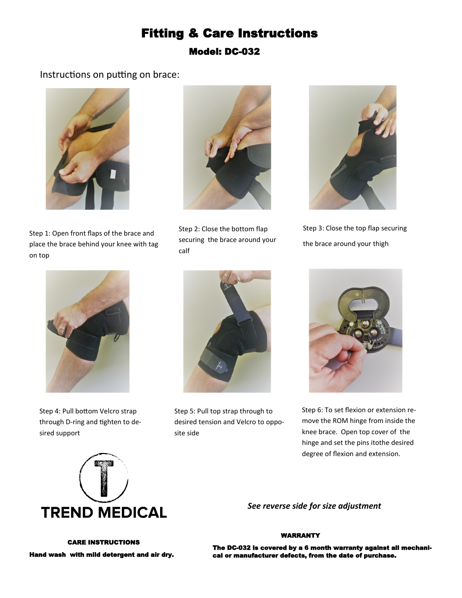# Fitting & Care Instructions Model: DC-032

## Instructions on putting on brace:



Step 1: Open front flaps of the brace and place the brace behind your knee with tag on top



Step 2: Close the bottom flap securing the brace around your calf



Step 3: Close the top flap securing the brace around your thigh



Step 4: Pull bottom Velcro strap through D-ring and tighten to desired support



Step 5: Pull top strap through to desired tension and Velcro to opposite side



Step 6: To set flexion or extension remove the ROM hinge from inside the knee brace. Open top cover of the hinge and set the pins itothe desired degree of flexion and extension.



*See reverse side for size adjustment*

#### WARRANTY

 CARE INSTRUCTIONS Hand wash with mild detergent and air dry.

The DC-032 is covered by a 6 month warranty against all mechanical or manufacturer defects, from the date of purchase.